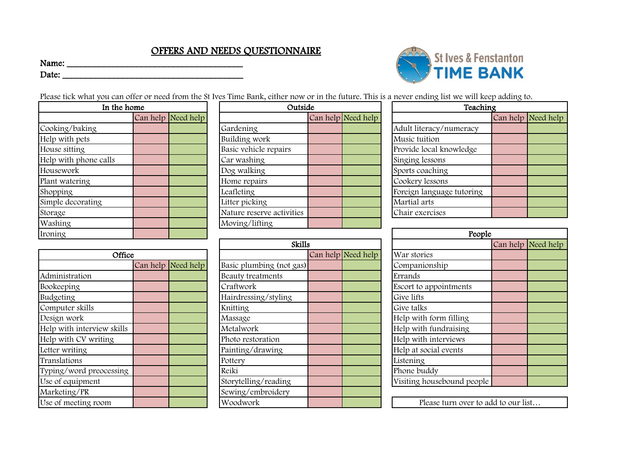## OFFERS AND NEEDS QUESTIONNAIRE

Name: \_\_\_\_\_\_\_\_\_\_\_\_\_\_\_\_\_\_\_\_\_\_\_\_\_\_\_\_\_\_\_\_\_\_\_\_\_\_

Date: \_\_\_\_\_\_\_\_\_\_\_\_\_\_\_\_\_\_\_\_\_\_\_\_\_\_\_\_\_\_\_\_\_\_\_\_\_\_\_



Please tick what you can offer or need from the St Ives Time Bank, either now or in the future. This is a never ending list we will keep adding to.

| In the home           |  |                    | Outside                   | Teacl              |                           |
|-----------------------|--|--------------------|---------------------------|--------------------|---------------------------|
|                       |  | Can help Need help |                           | Can help Need help |                           |
| Cooking/baking        |  |                    | Gardening                 |                    | Adult literacy/numeracy   |
| Help with pets        |  |                    | Building work             |                    | Music tuition             |
| House sitting         |  |                    | Basic vehicle repairs     |                    | Provide local knowledge   |
| Help with phone calls |  |                    | Car washing               |                    | Singing lessons           |
| Housework             |  |                    | Dog walking               |                    | Sports coaching           |
| Plant watering        |  |                    | Home repairs              |                    | Cookery lessons           |
| Shopping              |  |                    | Leafleting                |                    | Foreign language tutoring |
| Simple decorating     |  |                    | Litter picking            |                    | Martial arts              |
| Storage               |  |                    | Nature reserve activities |                    | Chair exercises           |
| Washing               |  |                    | Moving/lifting            |                    |                           |
| Ironing               |  |                    |                           |                    | Peo <sub>1</sub>          |

|                            |  |                    | www                      |  |                    |                            |  |  |
|----------------------------|--|--------------------|--------------------------|--|--------------------|----------------------------|--|--|
| Office                     |  |                    |                          |  | Can help Need help | War stories                |  |  |
|                            |  | Can help Need help | Basic plumbing (not gas) |  |                    | Companionship              |  |  |
| Administration             |  |                    | Beauty treatments        |  |                    | Errands                    |  |  |
| Bookeeping                 |  |                    | Craftwork                |  |                    | Escort to appointments     |  |  |
| Budgeting                  |  |                    | Hairdressing/styling     |  |                    | Give lifts                 |  |  |
| Computer skills            |  |                    | Knitting                 |  |                    | Give talks                 |  |  |
| Design work                |  |                    | Massage                  |  |                    | Help with form filling     |  |  |
| Help with interview skills |  |                    | Metalwork                |  |                    | Help with fundraising      |  |  |
| Help with CV writing       |  |                    | Photo restoration        |  |                    | Help with interviews       |  |  |
| Letter writing             |  |                    | Painting/drawing         |  |                    | Help at social events      |  |  |
| Translations               |  |                    | Pottery                  |  |                    | Listening                  |  |  |
| Typing/word preocessing    |  |                    | Reiki                    |  |                    | Phone buddy                |  |  |
| Use of equipment           |  |                    | Storytelling/reading     |  |                    | Visiting housebound people |  |  |
| Marketing/PR               |  |                    | Sewing/embroidery        |  |                    |                            |  |  |
| Use of meeting room        |  |                    | Woodwork                 |  |                    | Please turn over to a      |  |  |

| Outside                   |  |                    |  |  |  |  |
|---------------------------|--|--------------------|--|--|--|--|
|                           |  | Can help Need help |  |  |  |  |
| Gardening                 |  |                    |  |  |  |  |
| Building work             |  |                    |  |  |  |  |
| Basic vehicle repairs     |  |                    |  |  |  |  |
| Car washing               |  |                    |  |  |  |  |
| Dog walking               |  |                    |  |  |  |  |
| Home repairs              |  |                    |  |  |  |  |
| Leafleting                |  |                    |  |  |  |  |
| Litter picking            |  |                    |  |  |  |  |
| Nature reserve activities |  |                    |  |  |  |  |
| Moving/lifting            |  |                    |  |  |  |  |

|                    | Skills                   |                    |                   |
|--------------------|--------------------------|--------------------|-------------------|
|                    |                          | Can help Need help | War stories       |
| Can help Need help | Basic plumbing (not gas) |                    | Companionship     |
|                    | Beauty treatments        |                    | Errands           |
|                    | Craftwork                |                    | Escort to appoin  |
|                    | Hairdressing/styling     |                    | Give lifts        |
|                    | Knitting                 |                    | Give talks        |
|                    | Massage                  |                    | Help with form    |
|                    | Metalwork                |                    | Help with fundi   |
|                    | Photo restoration        |                    | Help with intery  |
|                    | Painting/drawing         |                    | Help at social ev |
|                    | Pottery                  |                    | Listening         |
|                    | Reiki                    |                    | Phone buddy       |
|                    | Storytelling/reading     |                    | Visiting houseb   |
|                    | Sewing/embroidery        |                    |                   |
|                    | Woodwork                 |                    | Please tu         |

|    |                    |                           |                    |  |  | $\alpha$ in the referred rate to be received encountry that $\alpha$ is there existing for |  |                    |  |
|----|--------------------|---------------------------|--------------------|--|--|--------------------------------------------------------------------------------------------|--|--------------------|--|
| me |                    |                           | Outside            |  |  | Teaching                                                                                   |  |                    |  |
|    | Can help Need help |                           | Can help Need help |  |  |                                                                                            |  | Can help Need help |  |
|    |                    | Gardening                 |                    |  |  | Adult literacy/numeracy                                                                    |  |                    |  |
|    |                    | Building work             |                    |  |  | Music tuition                                                                              |  |                    |  |
|    |                    | Basic vehicle repairs     |                    |  |  | Provide local knowledge                                                                    |  |                    |  |
|    |                    | Car washing               |                    |  |  | Singing lessons                                                                            |  |                    |  |
|    |                    | Dog walking               |                    |  |  | Sports coaching                                                                            |  |                    |  |
|    |                    | Home repairs              |                    |  |  | Cookery lessons                                                                            |  |                    |  |
|    |                    | Leafleting                |                    |  |  | Foreign language tutoring                                                                  |  |                    |  |
|    |                    | Litter picking            |                    |  |  | Martial arts                                                                               |  |                    |  |
|    |                    | Nature reserve activities |                    |  |  | Chair exercises                                                                            |  |                    |  |
|    |                    |                           |                    |  |  |                                                                                            |  |                    |  |

| People                     |  |                    |  |  |  |  |
|----------------------------|--|--------------------|--|--|--|--|
|                            |  | Can help Need help |  |  |  |  |
| War stories                |  |                    |  |  |  |  |
| Companionship              |  |                    |  |  |  |  |
| Errands                    |  |                    |  |  |  |  |
| Escort to appointments     |  |                    |  |  |  |  |
| Give lifts                 |  |                    |  |  |  |  |
| Give talks                 |  |                    |  |  |  |  |
| Help with form filling     |  |                    |  |  |  |  |
| Help with fundraising      |  |                    |  |  |  |  |
| Help with interviews       |  |                    |  |  |  |  |
| Help at social events      |  |                    |  |  |  |  |
| Listening                  |  |                    |  |  |  |  |
| Phone buddy                |  |                    |  |  |  |  |
| Visiting housebound people |  |                    |  |  |  |  |

Please turn over to add to our list…